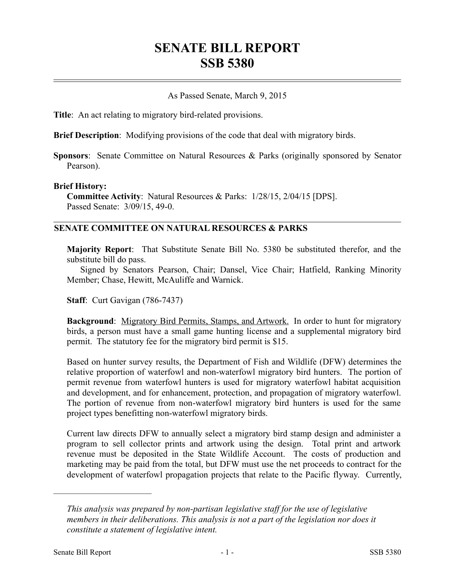# **SENATE BILL REPORT SSB 5380**

## As Passed Senate, March 9, 2015

**Title**: An act relating to migratory bird-related provisions.

**Brief Description**: Modifying provisions of the code that deal with migratory birds.

**Sponsors**: Senate Committee on Natural Resources & Parks (originally sponsored by Senator Pearson).

#### **Brief History:**

**Committee Activity**: Natural Resources & Parks: 1/28/15, 2/04/15 [DPS]. Passed Senate: 3/09/15, 49-0.

### **SENATE COMMITTEE ON NATURAL RESOURCES & PARKS**

**Majority Report**: That Substitute Senate Bill No. 5380 be substituted therefor, and the substitute bill do pass.

Signed by Senators Pearson, Chair; Dansel, Vice Chair; Hatfield, Ranking Minority Member; Chase, Hewitt, McAuliffe and Warnick.

**Staff**: Curt Gavigan (786-7437)

**Background**: Migratory Bird Permits, Stamps, and Artwork. In order to hunt for migratory birds, a person must have a small game hunting license and a supplemental migratory bird permit. The statutory fee for the migratory bird permit is \$15.

Based on hunter survey results, the Department of Fish and Wildlife (DFW) determines the relative proportion of waterfowl and non-waterfowl migratory bird hunters. The portion of permit revenue from waterfowl hunters is used for migratory waterfowl habitat acquisition and development, and for enhancement, protection, and propagation of migratory waterfowl. The portion of revenue from non-waterfowl migratory bird hunters is used for the same project types benefitting non-waterfowl migratory birds.

Current law directs DFW to annually select a migratory bird stamp design and administer a program to sell collector prints and artwork using the design. Total print and artwork revenue must be deposited in the State Wildlife Account. The costs of production and marketing may be paid from the total, but DFW must use the net proceeds to contract for the development of waterfowl propagation projects that relate to the Pacific flyway. Currently,

––––––––––––––––––––––

*This analysis was prepared by non-partisan legislative staff for the use of legislative members in their deliberations. This analysis is not a part of the legislation nor does it constitute a statement of legislative intent.*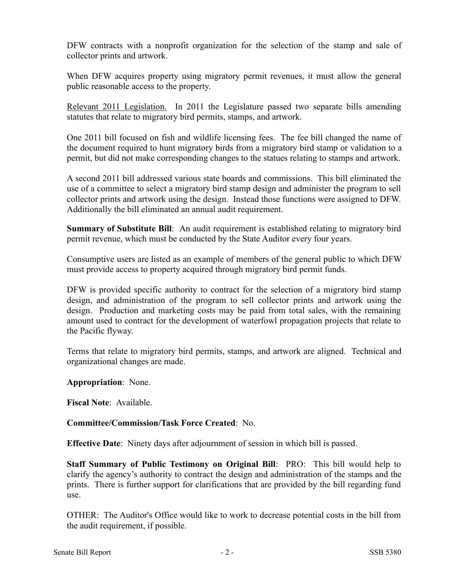DFW contracts with a nonprofit organization for the selection of the stamp and sale of collector prints and artwork.

When DFW acquires property using migratory permit revenues, it must allow the general public reasonable access to the property.

Relevant 2011 Legislation. In 2011 the Legislature passed two separate bills amending statutes that relate to migratory bird permits, stamps, and artwork.

One 2011 bill focused on fish and wildlife licensing fees. The fee bill changed the name of the document required to hunt migratory birds from a migratory bird stamp or validation to a permit, but did not make corresponding changes to the statues relating to stamps and artwork.

A second 2011 bill addressed various state boards and commissions. This bill eliminated the use of a committee to select a migratory bird stamp design and administer the program to sell collector prints and artwork using the design. Instead those functions were assigned to DFW. Additionally the bill eliminated an annual audit requirement.

**Summary of Substitute Bill**: An audit requirement is established relating to migratory bird permit revenue, which must be conducted by the State Auditor every four years.

Consumptive users are listed as an example of members of the general public to which DFW must provide access to property acquired through migratory bird permit funds.

DFW is provided specific authority to contract for the selection of a migratory bird stamp design, and administration of the program to sell collector prints and artwork using the design. Production and marketing costs may be paid from total sales, with the remaining amount used to contract for the development of waterfowl propagation projects that relate to the Pacific flyway.

Terms that relate to migratory bird permits, stamps, and artwork are aligned. Technical and organizational changes are made.

**Appropriation**: None.

**Fiscal Note**: Available.

# **Committee/Commission/Task Force Created**: No.

**Effective Date**: Ninety days after adjournment of session in which bill is passed.

**Staff Summary of Public Testimony on Original Bill**: PRO: This bill would help to clarify the agency's authority to contract the design and administration of the stamps and the prints. There is further support for clarifications that are provided by the bill regarding fund use.

OTHER: The Auditor's Office would like to work to decrease potential costs in the bill from the audit requirement, if possible.